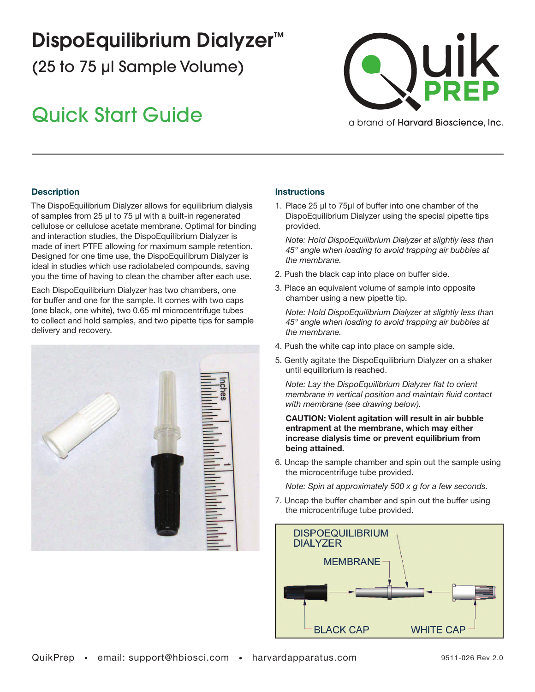# DispoEquilibrium Dialyzer<sup>™</sup>

(25 to 75 μl Sample Volume)

## Quick Start Guide



a brand of **Harvard Bioscience**, Inc.

### **Description**

The DispoEquilibrium Dialyzer allows for equilibrium dialysis of samples from 25 µl to 75 µl with a built-in regenerated cellulose or cellulose acetate membrane. Optimal for binding and interaction studies, the DispoEquilibrium Dialyzer is made of inert PTFE allowing for maximum sample retention. Designed for one time use, the DispoEquilibrum Dialyzer is ideal in studies which use radiolabeled compounds, saving you the time of having to clean the chamber after each use.

Each DispoEquilibrium Dialyzer has two chambers, one for buffer and one for the sample. It comes with two caps (one black, one white), two 0.65 ml microcentrifuge tubes to collect and hold samples, and two pipette tips for sample delivery and recovery.



#### **Instructions**

1. Place 25 µl to 75µl of buffer into one chamber of the DispoEquilibrium Dialyzer using the special pipette tips provided.

*Note: Hold DispoEquilibrium Dialyzer at slightly less than 45° angle when loading to avoid trapping air bubbles at the membrane.*

- 2. Push the black cap into place on buffer side.
- 3. Place an equivalent volume of sample into opposite chamber using a new pipette tip.

*Note: Hold DispoEquilibrium Dialyzer at slightly less than 45° angle when loading to avoid trapping air bubbles at the membrane.*

- 4. Push the white cap into place on sample side.
- 5. Gently agitate the DispoEquilibrium Dialyzer on a shaker until equilibrium is reached.

*Note: Lay the DispoEquilibrium Dialyzer flat to orient membrane in vertical position and maintain fluid contact with membrane (see drawing below).*

CAUTION: Violent agitation will result in air bubble entrapment at the membrane, which may either increase dialysis time or prevent equilibrium from being attained.

6. Uncap the sample chamber and spin out the sample using the microcentrifuge tube provided.

*Note: Spin at approximately 500 x g for a few seconds.*

7. Uncap the buffer chamber and spin out the buffer using the microcentrifuge tube provided.